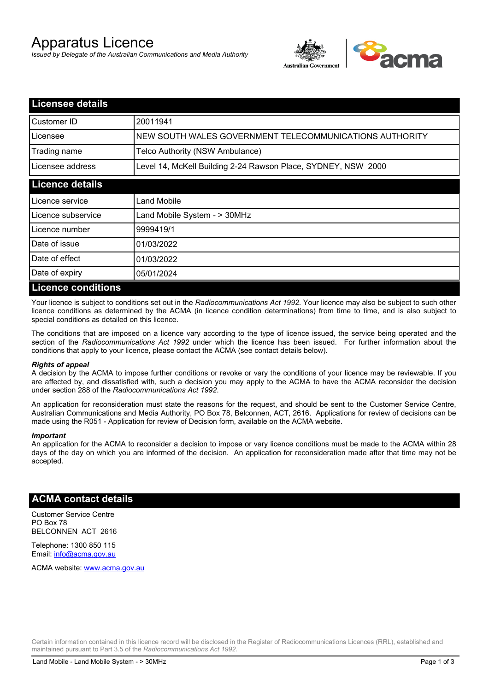# Apparatus Licence

*Issued by Delegate of the Australian Communications and Media Authority*



| <b>Licensee details</b>   |                                                               |
|---------------------------|---------------------------------------------------------------|
| Customer ID               | 20011941                                                      |
| Licensee                  | NEW SOUTH WALES GOVERNMENT TELECOMMUNICATIONS AUTHORITY       |
| Trading name              | Telco Authority (NSW Ambulance)                               |
| Licensee address          | Level 14, McKell Building 2-24 Rawson Place, SYDNEY, NSW 2000 |
| <b>Licence details</b>    |                                                               |
| l Licence service         | <b>Land Mobile</b>                                            |
| Licence subservice        | Land Mobile System - > 30MHz                                  |
| Licence number            | 9999419/1                                                     |
| Date of issue             | 01/03/2022                                                    |
| Date of effect            | 01/03/2022                                                    |
| Date of expiry            | 05/01/2024                                                    |
| <b>Licence conditions</b> |                                                               |

Your licence is subject to conditions set out in the *Radiocommunications Act 1992*. Your licence may also be subject to such other licence conditions as determined by the ACMA (in licence condition determinations) from time to time, and is also subject to special conditions as detailed on this licence.

The conditions that are imposed on a licence vary according to the type of licence issued, the service being operated and the section of the *Radiocommunications Act 1992* under which the licence has been issued. For further information about the conditions that apply to your licence, please contact the ACMA (see contact details below).

#### *Rights of appeal*

A decision by the ACMA to impose further conditions or revoke or vary the conditions of your licence may be reviewable. If you are affected by, and dissatisfied with, such a decision you may apply to the ACMA to have the ACMA reconsider the decision under section 288 of the *Radiocommunications Act 1992*.

An application for reconsideration must state the reasons for the request, and should be sent to the Customer Service Centre, Australian Communications and Media Authority, PO Box 78, Belconnen, ACT, 2616. Applications for review of decisions can be made using the R051 - Application for review of Decision form, available on the ACMA website.

#### *Important*

An application for the ACMA to reconsider a decision to impose or vary licence conditions must be made to the ACMA within 28 days of the day on which you are informed of the decision. An application for reconsideration made after that time may not be accepted.

#### **ACMA contact details**

Customer Service Centre PO Box 78 BELCONNEN ACT 2616

Telephone: 1300 850 115 Email: info@acma.gov.au

ACMA website: www.acma.gov.au

Certain information contained in this licence record will be disclosed in the Register of Radiocommunications Licences (RRL), established and maintained pursuant to Part 3.5 of the *Radiocommunications Act 1992.*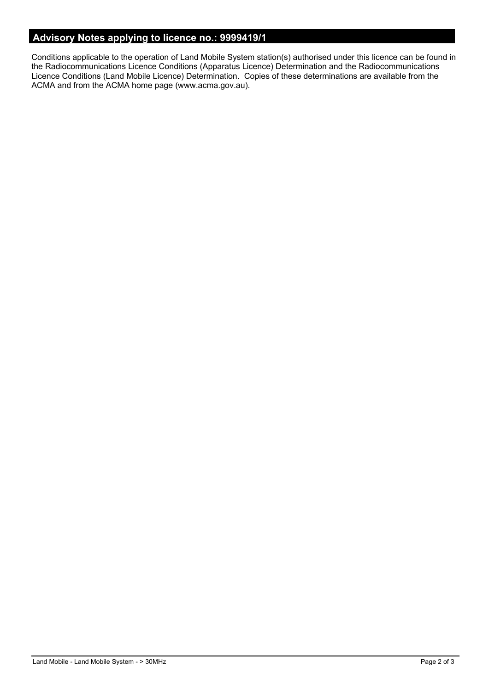### **Advisory Notes applying to licence no.: 9999419/1**

Conditions applicable to the operation of Land Mobile System station(s) authorised under this licence can be found in the Radiocommunications Licence Conditions (Apparatus Licence) Determination and the Radiocommunications Licence Conditions (Land Mobile Licence) Determination. Copies of these determinations are available from the ACMA and from the ACMA home page (www.acma.gov.au).